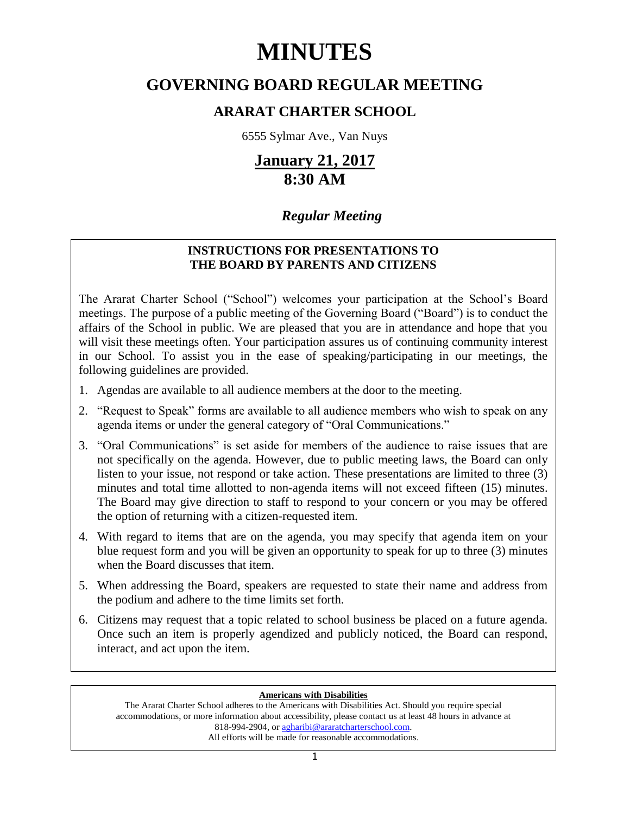# **MINUTES**

# **GOVERNING BOARD REGULAR MEETING**

# **ARARAT CHARTER SCHOOL**

6555 Sylmar Ave., Van Nuys

# **January 21, 2017 8:30 AM**

# *Regular Meeting*

## **INSTRUCTIONS FOR PRESENTATIONS TO THE BOARD BY PARENTS AND CITIZENS**

The Ararat Charter School ("School") welcomes your participation at the School's Board meetings. The purpose of a public meeting of the Governing Board ("Board") is to conduct the affairs of the School in public. We are pleased that you are in attendance and hope that you will visit these meetings often. Your participation assures us of continuing community interest in our School. To assist you in the ease of speaking/participating in our meetings, the following guidelines are provided.

- 1. Agendas are available to all audience members at the door to the meeting.
- 2. "Request to Speak" forms are available to all audience members who wish to speak on any agenda items or under the general category of "Oral Communications."
- 3. "Oral Communications" is set aside for members of the audience to raise issues that are not specifically on the agenda. However, due to public meeting laws, the Board can only listen to your issue, not respond or take action. These presentations are limited to three (3) minutes and total time allotted to non-agenda items will not exceed fifteen (15) minutes. The Board may give direction to staff to respond to your concern or you may be offered the option of returning with a citizen-requested item.
- 4. With regard to items that are on the agenda, you may specify that agenda item on your blue request form and you will be given an opportunity to speak for up to three (3) minutes when the Board discusses that item.
- 5. When addressing the Board, speakers are requested to state their name and address from the podium and adhere to the time limits set forth.
- 6. Citizens may request that a topic related to school business be placed on a future agenda. Once such an item is properly agendized and publicly noticed, the Board can respond, interact, and act upon the item.

### **Americans with Disabilities**

The Ararat Charter School adheres to the Americans with Disabilities Act. Should you require special accommodations, or more information about accessibility, please contact us at least 48 hours in advance at 818-994-2904, or [agharibi@araratcharterschool.com.](mailto:agharibi@araratcharterschool.com)  All efforts will be made for reasonable accommodations.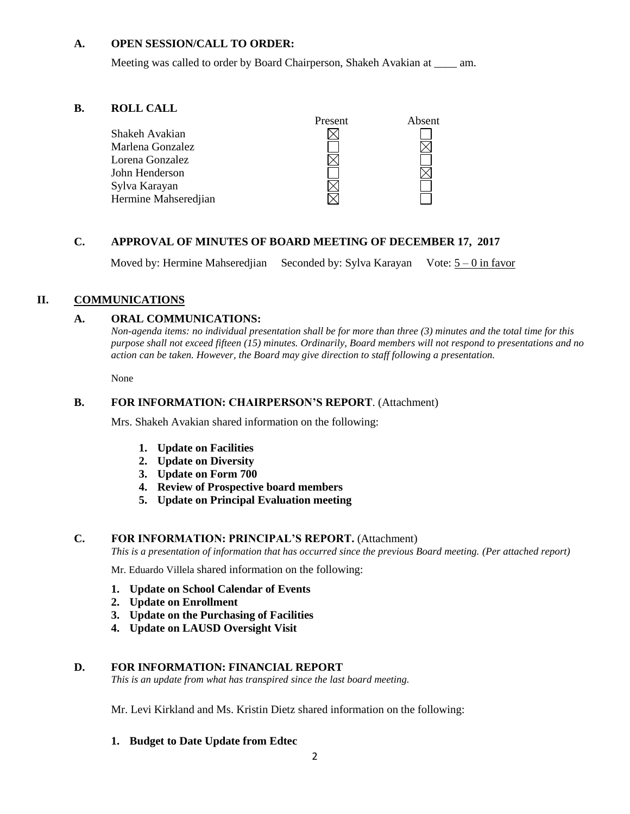#### **A. OPEN SESSION/CALL TO ORDER:**

Meeting was called to order by Board Chairperson, Shakeh Avakian at \_\_\_\_ am.

#### **B. ROLL CALL**



#### **C. APPROVAL OF MINUTES OF BOARD MEETING OF DECEMBER 17, 2017**

Moved by: Hermine Mahseredjian Seconded by: Sylva Karayan Vote:  $5 - 0$  in favor

### **II. COMMUNICATIONS**

#### **A. ORAL COMMUNICATIONS:**

*Non-agenda items: no individual presentation shall be for more than three (3) minutes and the total time for this purpose shall not exceed fifteen (15) minutes. Ordinarily, Board members will not respond to presentations and no action can be taken. However, the Board may give direction to staff following a presentation.*

None

#### **B. FOR INFORMATION: CHAIRPERSON'S REPORT**. (Attachment)

Mrs. Shakeh Avakian shared information on the following:

- **1. Update on Facilities**
- **2. Update on Diversity**
- **3. Update on Form 700**
- **4. Review of Prospective board members**
- **5. Update on Principal Evaluation meeting**

#### **C. FOR INFORMATION: PRINCIPAL'S REPORT.** (Attachment)

*This is a presentation of information that has occurred since the previous Board meeting. (Per attached report)*

Mr. Eduardo Villela shared information on the following:

- **1. Update on School Calendar of Events**
- **2. Update on Enrollment**
- **3. Update on the Purchasing of Facilities**
- **4. Update on LAUSD Oversight Visit**

#### **D. FOR INFORMATION: FINANCIAL REPORT**

*This is an update from what has transpired since the last board meeting.*

Mr. Levi Kirkland and Ms. Kristin Dietz shared information on the following:

#### **1. Budget to Date Update from Edtec**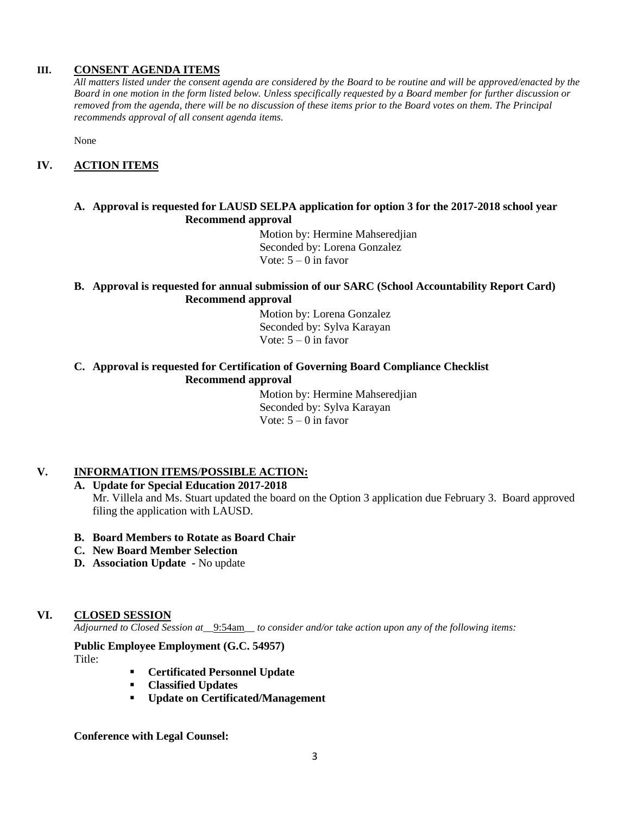#### **III. CONSENT AGENDA ITEMS**

*All matters listed under the consent agenda are considered by the Board to be routine and will be approved/enacted by the Board in one motion in the form listed below. Unless specifically requested by a Board member for further discussion or removed from the agenda, there will be no discussion of these items prior to the Board votes on them. The Principal recommends approval of all consent agenda items.*

None

#### **IV. ACTION ITEMS**

#### **A. Approval is requested for LAUSD SELPA application for option 3 for the 2017-2018 school year Recommend approval**

 Motion by: Hermine Mahseredjian Seconded by: Lorena Gonzalez Vote:  $5 - 0$  in favor

#### **B. Approval is requested for annual submission of our SARC (School Accountability Report Card) Recommend approval**

 Motion by: Lorena Gonzalez Seconded by: Sylva Karayan Vote:  $5 - 0$  in favor

#### **C. Approval is requested for Certification of Governing Board Compliance Checklist Recommend approval**

 Motion by: Hermine Mahseredjian Seconded by: Sylva Karayan Vote:  $5 - 0$  in favor

#### **V. INFORMATION ITEMS**/**POSSIBLE ACTION:**

#### **A. Update for Special Education 2017-2018**

Mr. Villela and Ms. Stuart updated the board on the Option 3 application due February 3. Board approved filing the application with LAUSD.

- **B. Board Members to Rotate as Board Chair**
- **C. New Board Member Selection**
- **D. Association Update -** No update

#### **VI. CLOSED SESSION**

*Adjourned to Closed Session at\_\_*9:54am*\_\_ to consider and/or take action upon any of the following items:*

#### **Public Employee Employment (G.C. 54957)**

Title:

- **Certificated Personnel Update**
- **Classified Updates**
- **Update on Certificated/Management**

#### **Conference with Legal Counsel:**